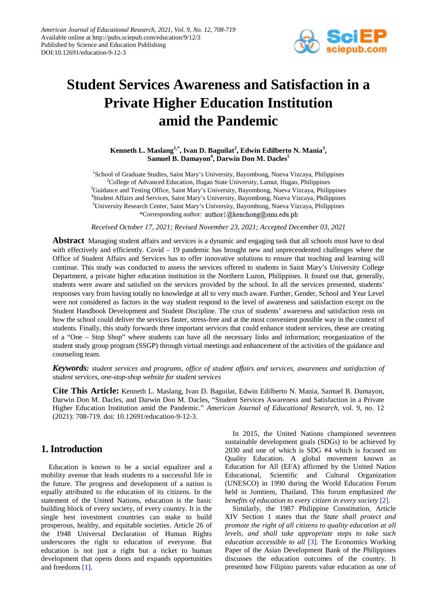

# **Student Services Awareness and Satisfaction in a Private Higher Education Institution amid the Pandemic**

**Kenneth L. Maslang1,\* , Ivan D. Baguilat<sup>2</sup> , Edwin Edilberto N. Mania<sup>3</sup> ,**  Samuel B. Damayon<sup>4</sup>, Darwin Don M. Dacles<sup>5</sup>

<sup>1</sup>School of Graduate Studies, Saint Mary's University, Bayombong, Nueva Vizcaya, Philippines <sup>2</sup>College of Advanced Education, Ifugao State University, Lamut, Ifugao, Philippines <sup>3</sup>Guidance and Testing Office, Saint Mary's University, Bayombong, Nueva Vizcaya, Philippines 4 Student Affairs and Services, Saint Mary's University, Bayombong, Nueva Vizcaya, Philippines 5 University Research Center, Saint Mary's University, Bayombong, Nueva Vizcaya, Philippines \*Corresponding author: author1@kenchong@smu.edu.ph

*Received October 17, 2021; Revised November 23, 2021; Accepted December 03, 2021*

**Abstract** Managing student affairs and services is a dynamic and engaging task that all schools must have to deal with effectively and efficiently. Covid  $-19$  pandemic has brought new and unprecendented challenges where the Office of Student Affairs and Services has to offer innovative solutions to ensure that teaching and learning will continue. This study was conducted to assess the services offered to students in Saint Mary's University College Department, a private higher education institution in the Northern Luzon, Philippines. It found out that, generally, students were aware and satisfied on the services provided by the school. In all the services presented, students' responses vary from having totally no knowledge at all to very much aware. Further, Gender, School and Year Level were not considered as factors in the way student respond to the level of awareness and satisfaction except on the Student Handbook Development and Student Discipline. The crux of students' awareness and satisfaction rests on how the school could deliver the services faster, stress-free and at the most convenient possible way in the context of students. Finally, this study forwards three important services that could enhance student services, these are creating of a "One – Stop Shop" where students can have all the necessary links and information; reorganization of the student study group program (SSGP) through virtual meetings and enhancement of the activities of the guidance and counseling team.

*Keywords: student services and programs, office of student affairs and services, awareness and satisfaction of student services, one-stop-shop website for student services*

**Cite This Article:** Kenneth L. Maslang, Ivan D. Baguilat, Edwin Edilberto N. Mania, Samuel B. Damayon, Darwin Don M. Dacles, and Darwin Don M. Dacles, "Student Services Awareness and Satisfaction in a Private Higher Education Institution amid the Pandemic." *American Journal of Educational Research*, vol. 9, no. 12 (2021): 708-719. doi: 10.12691/education-9-12-3.

# **1. Introduction**

Education is known to be a social equalizer and a mobility avenue that leads students to a successful life in the future. The progress and development of a nation is equally attributed to the education of its citizens. In the statement of the United Nations, education is the basic building block of every society, of every country. It is the single best investment countries can make to build prosperous, healthy, and equitable societies. Article 26 of the 1948 Universal Declaration of Human Rights underscores the right to education of everyone. But education is not just a right but a ticket to human development that opens doors and expands opportunities and freedoms [\[1\].](#page-10-0)

In 2015, the United Nations championed seventeen sustainable development goals (SDGs) to be achieved by 2030 and one of which is SDG #4 which is focused on Quality Education. A global movement known as Education for All (EFA) affirmed by the United Nation Educational, Scientific and Cultural Organization (UNESCO) in 1990 during the World Education Forum held in Jomtiem, Thailand. This forum emphasized *the benefits of education to every citizen in every society* [\[2\].](#page-10-1)

Similarly, the 1987 Philippine Constitution, Article XIV Section 1 states that *the State shall protect and promote the right of all citizens to quality education at all levels, and shall take appropriate steps to take such education accessible to all* [\[3\].](#page-10-2) The Economics Working Paper of the Asian Development Bank of the Philippines discusses the education outcomes of the country. It presented how Filipino parents value education as one of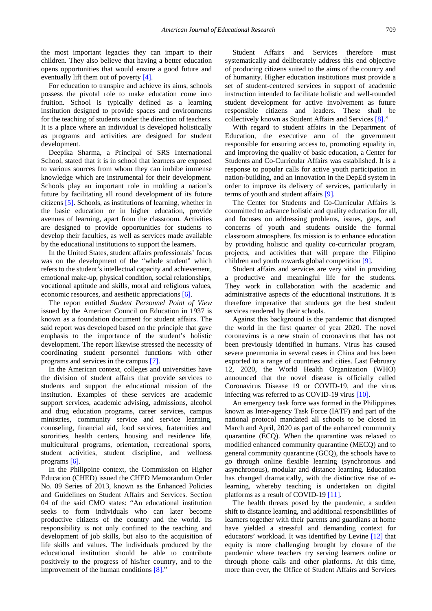the most important legacies they can impart to their children. They also believe that having a better education opens opportunities that would ensure a good future and eventually lift them out of povert[y \[4\].](#page-10-3)

For education to transpire and achieve its aims, schools possess the pivotal role to make education come into fruition. School is typically defined as a learning institution designed to provide spaces and environments for the teaching of students under the direction of teachers. It is a place where an individual is developed holistically as programs and activities are designed for student development.

Deepika Sharma, a Principal of SRS International School, stated that it is in school that learners are exposed to various sources from whom they can imbibe immense knowledge which are instrumental for their development. Schools play an important role in molding a nation's future by facilitating all round development of its future citizens [\[5\].](#page-10-4) Schools, as institutions of learning, whether in the basic education or in higher education, provide avenues of learning, apart from the classroom. Activities are designed to provide opportunities for students to develop their faculties, as well as services made available by the educational institutions to support the learners.

In the United States, student affairs professionals' focus was on the development of the "whole student" which refers to the student's intellectual capacity and achievement, emotional make-up, physical condition, social relationships, vocational aptitude and skills, moral and religious values, economic resources, and aesthetic appreciations [\[6\].](#page-10-5)

The report entitled *Student Personnel Point of View* issued by the American Council on Education in 1937 is known as a foundation document for student affairs. The said report was developed based on the principle that gave emphasis to the importance of the student's holistic development. The report likewise stressed the necessity of coordinating student personnel functions with other programs and services in the campu[s \[7\].](#page-10-6)

In the American context, colleges and universities have the division of student affairs that provide services to students and support the educational mission of the institution. Examples of these services are academic support services, academic advising, admissions, alcohol and drug education programs, career services, campus ministries, community service and service learning, counseling, financial aid, food services, fraternities and sororities, health centers, housing and residence life, multicultural programs, orientation, recreational sports, student activities, student discipline, and wellness programs [\[6\].](#page-10-5)

In the Philippine context, the Commission on Higher Education (CHED) issued the CHED Memorandum Order No. 09 Series of 2013, known as the Enhanced Policies and Guidelines on Student Affairs and Services. Section 04 of the said CMO states: "An educational institution seeks to form individuals who can later become productive citizens of the country and the world. Its responsibility is not only confined to the teaching and development of job skills, but also to the acquisition of life skills and values. The individuals produced by the educational institution should be able to contribute positively to the progress of his/her country, and to the improvement of the human conditions [\[8\].](#page-10-7)"

Student Affairs and Services therefore must systematically and deliberately address this end objective of producing citizens suited to the aims of the country and of humanity. Higher education institutions must provide a set of student-centered services in support of academic instruction intended to facilitate holistic and well-rounded student development for active involvement as future responsible citizens and leaders. These shall be collectively known as Student Affairs and Services [\[8\].](#page-10-7)"

With regard to student affairs in the Department of Education, the executive arm of the government responsible for ensuring access to, promoting equality in, and improving the quality of basic education, a Center for Students and Co-Curricular Affairs was established. It is a response to popular calls for active youth participation in nation-building, and an innovation in the DepEd system in order to improve its delivery of services, particularly in terms of youth and student affairs [\[9\].](#page-10-8)

The Center for Students and Co-Curricular Affairs is committed to advance holistic and quality education for all, and focuses on addressing problems, issues, gaps, and concerns of youth and students outside the formal classroom atmosphere. Its mission is to enhance education by providing holistic and quality co-curricular program, projects, and activities that will prepare the Filipino children and youth towards global competition [\[9\].](#page-10-8)

Student affairs and services are very vital in providing a productive and meaningful life for the students. They work in collaboration with the academic and administrative aspects of the educational institutions. It is therefore imperative that students get the best student services rendered by their schools.

Against this background is the pandemic that disrupted the world in the first quarter of year 2020. The novel coronavirus is a new strain of coronavirus that has not been previously identified in humans. Virus has caused severe pneumonia in several cases in China and has been exported to a range of countries and cities. Last February 12, 2020, the World Health Organization (WHO) announced that the novel disease is officially called Coronavirus Disease 19 or COVID-19, and the virus infecting was referred to as COVID-19 virus [\[10\].](#page-10-9)

An emergency task force was formed in the Philippines known as Inter-agency Task Force (IATF) and part of the national protocol mandated all schools to be closed in March and April, 2020 as part of the enhanced community quarantine (ECQ). When the quarantine was relaxed to modified enhanced community quarantine (MECQ) and to general community quarantine (GCQ), the schools have to go through online flexible learning (synchronous and asynchronous), modular and distance learning. Education has changed dramatically, with the distinctive rise of elearning, whereby teaching is undertaken on digital platforms as a result of COVID-19 [\[11\].](#page-10-10)

The health threats posed by the pandemic, a sudden shift to distance learning, and additional responsibilities of learners together with their parents and guardians at home have yielded a stressful and demanding context for educators' workload. It was identified by Levine [\[12\]](#page-11-0) that equity is more challenging brought by closure of the pandemic where teachers try serving learners online or through phone calls and other platforms. At this time, more than ever, the Office of Student Affairs and Services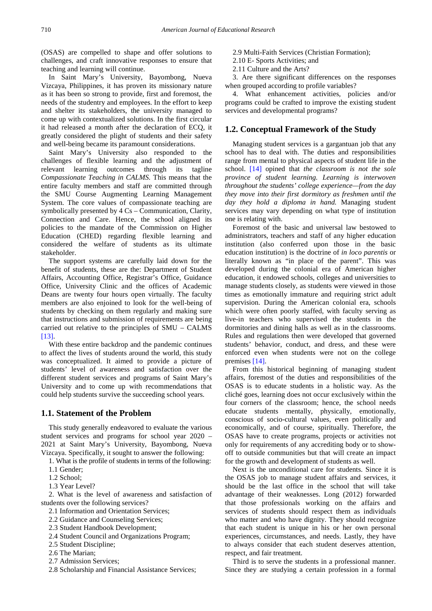(OSAS) are compelled to shape and offer solutions to challenges, and craft innovative responses to ensure that teaching and learning will continue.

In Saint Mary's University, Bayombong, Nueva Vizcaya, Philippines, it has proven its missionary nature as it has been so strong to provide, first and foremost, the needs of the studentry and employees. In the effort to keep and shelter its stakeholders, the university managed to come up with contextualized solutions. In the first circular it had released a month after the declaration of ECQ, it greatly considered the plight of students and their safety and well-being became its paramount considerations.

Saint Mary's University also responded to the challenges of flexible learning and the adjustment of relevant learning outcomes through its tagline *Compassionate Teaching in CALMS.* This means that the entire faculty members and staff are committed through the SMU Course Augmenting Learning Management System. The core values of compassionate teaching are symbolically presented by 4 Cs – Communication, Clarity, Connection and Care. Hence, the school aligned its policies to the mandate of the Commission on Higher Education (CHED) regarding flexible learning and considered the welfare of students as its ultimate stakeholder.

The support systems are carefully laid down for the benefit of students, these are the: Department of Student Affairs, Accounting Office, Registrar's Office, Guidance Office, University Clinic and the offices of Academic Deans are twenty four hours open virtually. The faculty members are also enjoined to look for the well-being of students by checking on them regularly and making sure that instructions and submission of requirements are being carried out relative to the principles of SMU – CALMS [\[13\].](#page-11-1)

With these entire backdrop and the pandemic continues to affect the lives of students around the world, this study was conceptualized. It aimed to provide a picture of students' level of awareness and satisfaction over the different student services and programs of Saint Mary's University and to come up with recommendations that could help students survive the succeeding school years.

#### **1.1. Statement of the Problem**

This study generally endeavored to evaluate the various student services and programs for school year 2020 – 2021 at Saint Mary's University, Bayombong, Nueva Vizcaya. Specifically, it sought to answer the following:

- 1. What is the profile of students in terms of the following:
- 1.1 Gender;
- 1.2 School;
- 1.3 Year Level?

2. What is the level of awareness and satisfaction of students over the following services?

- 2.1 Information and Orientation Services;
- 2.2 Guidance and Counseling Services;
- 2.3 Student Handbook Development;
- 2.4 Student Council and Organizations Program;
- 2.5 Student Discipline;
- 2.6 The Marian;
- 2.7 Admission Services;
- 2.8 Scholarship and Financial Assistance Services;
- 2.9 Multi-Faith Services (Christian Formation);
- 2.10 E- Sports Activities; and
- 2.11 Culture and the Arts?

3. Are there significant differences on the responses when grouped according to profile variables?

4. What enhancement activities, policies and/or programs could be crafted to improve the existing student services and developmental programs?

#### **1.2. Conceptual Framework of the Study**

Managing student services is a gargantuan job that any school has to deal with. The duties and responsibilities range from mental to physical aspects of student life in the school. [\[14\]](#page-11-2) opined that *the classroom is not the sole province of student learning. Learning is interwoven throughout the students' college experience—from the day they move into their first dormitory as freshmen until the day they hold a diploma in hand.* Managing student services may vary depending on what type of institution one is relating with.

Foremost of the basic and universal law bestowed to administrators, teachers and staff of any higher education institution (also conferred upon those in the basic education institution) is the doctrine of *in loco parentis* or literally known as "in place of the parent". This was developed during the colonial era of American higher education, it endowed schools, colleges and universities to manage students closely, as students were viewed in those times as emotionally immature and requiring strict adult supervision. During the American colonial era, schools which were often poorly staffed, with faculty serving as live-in teachers who supervised the students in the dormitories and dining halls as well as in the classrooms. Rules and regulations then were developed that governed students' behavior, conduct, and dress, and these were enforced even when students were not on the college premises [\[14\].](#page-11-2)

From this historical beginning of managing student affairs, foremost of the duties and responsibilities of the OSAS is to educate students in a holistic way. As the cliché goes, learning does not occur exclusively within the four corners of the classroom; hence, the school needs educate students mentally, physically, emotionally, conscious of socio-cultural values, even politically and economically, and of course, spiritually. Therefore, the OSAS have to create programs, projects or activities not only for requirements of any accrediting body or to showoff to outside communities but that will create an impact for the growth and development of students as well.

Next is the unconditional care for students. Since it is the OSAS job to manage student affairs and services, it should be the last office in the school that will take advantage of their weaknesses. Long (2012) forwarded that those professionals working on the affairs and services of students should respect them as individuals who matter and who have dignity. They should recognize that each student is unique in his or her own personal experiences, circumstances, and needs. Lastly, they have to always consider that each student deserves attention, respect, and fair treatment.

Third is to serve the students in a professional manner. Since they are studying a certain profession in a formal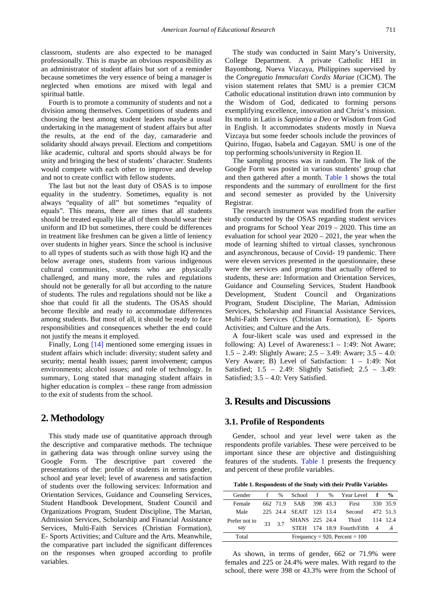classroom, students are also expected to be managed professionally. This is maybe an obvious responsibility as an administrator of student affairs but sort of a reminder because sometimes the very essence of being a manager is neglected when emotions are mixed with legal and spiritual battle.

Fourth is to promote a community of students and not a division among themselves. Competitions of students and choosing the best among student leaders maybe a usual undertaking in the management of student affairs but after the results, at the end of the day, camaraderie and solidarity should always prevail. Elections and competitions like academic, cultural and sports should always be for unity and bringing the best of students' character. Students would compete with each other to improve and develop and not to create conflict with fellow students.

The last but not the least duty of OSAS is to impose equality in the studentry. Sometimes, equality is not always "equality of all" but sometimes "equality of equals". This means, there are times that all students should be treated equally like all of them should wear their uniform and ID but sometimes, there could be differences in treatment like freshmen can be given a little of leniency over students in higher years. Since the school is inclusive to all types of students such as with those high IQ and the below average ones, students from various indigenous cultural communities, students who are physically challenged, and many more, the rules and regulations should not be generally for all but according to the nature of students. The rules and regulations should not be like a shoe that could fit all the students. The OSAS should become flexible and ready to accommodate differences among students. But most of all, it should be ready to face responsibilities and consequences whether the end could not justify the means it employed.

Finally, Long [\[14\]](#page-11-2) mentioned some emerging issues in student affairs which include: diversity; student safety and security; mental health issues; parent involvement; campus environments; alcohol issues; and role of technology. In summary, Long stated that managing student affairs in higher education is complex – these range from admission to the exit of students from the school.

## **2. Methodology**

This study made use of quantitative approach through the descriptive and comparative methods. The technique in gathering data was through online survey using the Google Form. The descriptive part covered the presentations of the: profile of students in terms gender, school and year level; level of awareness and satisfaction of students over the following services: Information and Orientation Services, Guidance and Counseling Services, Student Handbook Development, Student Council and Organizations Program, Student Discipline, The Marian, Admission Services, Scholarship and Financial Assistance Services, Multi-Faith Services (Christian Formation), E- Sports Activities; and Culture and the Arts. Meanwhile, the comparative part included the significant differences on the responses when grouped according to profile variables.

The study was conducted in Saint Mary's University, College Department. A private Catholic HEI in Bayombong, Nueva Vizcaya, Philippines supervised by the *Congregatio Immaculati Cordis Mariae* (CICM). The vision statement relates that SMU is a premier CICM Catholic educational institution drawn into communion by the Wisdom of God, dedicated to forming persons exemplifying excellence, innovation and Christ's mission. Its motto in Latin is *Sapientia a Deo* or Wisdom from God in English. It accommodates students mostly in Nueva Vizcaya but some feeder schools include the provinces of Quirino, Ifugao, Isabela and Cagayan. SMU is one of the top performing schools/university in Region II.

The sampling process was in random. The link of the Google Form was posted in various students' group chat and then gathered after a month. [Table 1](#page-3-0) shows the total respondents and the summary of enrollment for the first and second semester as provided by the University Registrar.

The research instrument was modified from the earlier study conducted by the OSAS regarding student services and programs for School Year 2019 – 2020. This time an evaluation for school year 2020 – 2021, the year when the mode of learning shifted to virtual classes, synchronous and asynchronous, because of Covid- 19 pandemic. There were eleven services presented in the questionnaire, these were the services and programs that actually offered to students, these are: Information and Orientation Services, Guidance and Counseling Services, Student Handbook Development, Student Council and Organizations Program, Student Discipline, The Marian, Admission Services, Scholarship and Financial Assistance Services, Multi-Faith Services (Christian Formation), E- Sports Activities; and Culture and the Arts.

A four-likert scale was used and expressed in the following: A) Level of Awareness:1 – 1:49: Not Aware; 1.5 – 2.49: Slightly Aware; 2.5 – 3.49: Aware; 3.5 – 4.0: Very Aware; B) Level of Satisfaction: 1 – 1:49: Not Satisfied; 1.5 – 2.49: Slightly Satisfied; 2.5 – 3.49: Satisfied; 3.5 – 4.0: Very Satisfied.

## **3. Results and Discussions**

#### **3.1. Profile of Respondents**

Gender, school and year level were taken as the respondents profile variables. These were perceived to be important since these are objective and distinguishing features of the students. [Table 1](#page-3-0) presents the frequency and percent of these profile variables.

**Table 1. Respondents of the Study with their Profile Variables**

<span id="page-3-0"></span>

| Gender                                       | f  |     |                         |          |  | % School f % Year Level f       |          | $\frac{6}{9}$ |
|----------------------------------------------|----|-----|-------------------------|----------|--|---------------------------------|----------|---------------|
| Female                                       |    |     | 662 71.9 SAB            | 398 43.3 |  | First                           |          | 330 35.9      |
| Male                                         |    |     | 225 24.4 SEAIT 123 13.4 |          |  | Second                          | 472 513  |               |
| Prefer not to                                | 33 | 3.7 |                         |          |  | SHANS 225 24.4 Third            | 114 12.4 |               |
| say                                          |    |     |                         |          |  | STEH 174 18.9 Fourth/Fifth 4 .4 |          |               |
| Frequency = $920$ , Percent = $100$<br>Total |    |     |                         |          |  |                                 |          |               |

As shown, in terms of gender, 662 or 71.9% were females and 225 or 24.4% were males. With regard to the school, there were 398 or 43.3% were from the School of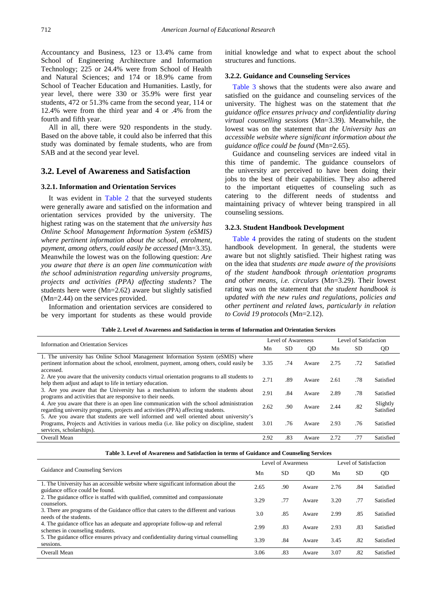Accountancy and Business, 123 or 13.4% came from School of Engineering Architecture and Information Technology; 225 or 24.4% were from School of Health and Natural Sciences; and 174 or 18.9% came from School of Teacher Education and Humanities. Lastly, for year level, there were 330 or 35.9% were first year students, 472 or 51.3% came from the second year, 114 or 12.4% were from the third year and 4 or .4% from the fourth and fifth year.

All in all, there were 920 respondents in the study. Based on the above table, it could also be inferred that this study was dominated by female students, who are from SAB and at the second year level.

## **3.2. Level of Awareness and Satisfaction**

#### **3.2.1. Information and Orientation Services**

It was evident in [Table 2](#page-4-0) that the surveyed students were generally aware and satisfied on the information and orientation services provided by the university. The highest rating was on the statement that *the university has Online School Management Information System (eSMIS) where pertinent information about the school, enrolment, payment, among others, could easily be accessed* (Mn=3.35). Meanwhile the lowest was on the following question: *Are you aware that there is an open line communication with the school administration regarding university programs, projects and activities (PPA) affecting students?* The students here were (Mn=2.62) aware but slightly satisfied (Mn=2.44) on the services provided.

Information and orientation services are considered to be very important for students as these would provide initial knowledge and what to expect about the school structures and functions.

## **3.2.2. Guidance and Counseling Services**

[Table 3](#page-4-1) shows that the students were also aware and satisfied on the guidance and counseling services of the university. The highest was on the statement that *the guidance office ensures privacy and confidentiality during virtual counselling sessions* (Mn=3.39). Meanwhile, the lowest was on the statement that *the University has an accessible website where significant information about the guidance office could be found* (Mn=2.65).

Guidance and counseling services are indeed vital in this time of pandemic. The guidance counselors of the university are perceived to have been doing their jobs to the best of their capabilities. They also adhered to the important etiquettes of counseling such as catering to the different needs of studentss and maintaining privacy of whtever being transpired in all counseling sessions.

#### **3.2.3. Student Handbook Development**

[Table 4](#page-5-0) provides the rating of students on the student handbook development. In general, the students were aware but not slightly satisfied. Their highest rating was on the idea that *students are made aware of the provisions of the student handbook through orientation programs and other means, i.e. circulars* (Mn=3.29). Their lowest rating was on the statement that *the student handbook is updated with the new rules and regulations, policies and other pertinent and related laws, particularly in relation to Covid 19 protocols* (Mn=2.12).

|  |  |  |  | Table 2. Level of Awareness and Satisfaction in terms of Information and Orientation Services |  |  |
|--|--|--|--|-----------------------------------------------------------------------------------------------|--|--|
|--|--|--|--|-----------------------------------------------------------------------------------------------|--|--|

<span id="page-4-0"></span>

| Information and Orientation Services<br>Mn                                                          |      | Level of Awareness |           |      | Level of Satisfaction |           |  |
|-----------------------------------------------------------------------------------------------------|------|--------------------|-----------|------|-----------------------|-----------|--|
|                                                                                                     |      | <b>SD</b>          | <b>OD</b> | Mn   | <b>SD</b>             | QD        |  |
| 1. The university has Online School Management Information System (eSMIS) where                     |      |                    |           |      |                       |           |  |
| pertinent information about the school, enrolment, payment, among others, could easily be           | 3.35 | .74                | Aware     | 2.75 | .72                   | Satisfied |  |
| accessed.                                                                                           |      |                    |           |      |                       |           |  |
| 2. Are you aware that the university conducts virtual orientation programs to all students to       | 2.71 | .89                | Aware     | 2.61 | .78                   | Satisfied |  |
| help them adjust and adapt to life in tertiary education.                                           |      |                    |           |      |                       |           |  |
| 3. Are you aware that the University has a mechanism to inform the students about                   | 2.91 | .84                | Aware     | 2.89 | .78                   | Satisfied |  |
| programs and activities that are responsive to their needs.                                         |      |                    |           |      |                       |           |  |
| 4. Are you aware that there is an open line communication with the school administration            | 2.62 | .90                | Aware     | 2.44 | .82                   | Slightly  |  |
| regarding university programs, projects and activities (PPA) affecting students.                    |      |                    |           |      |                       | Satisfied |  |
| 5. Are you aware that students are well informed and well oriented about university's               |      |                    |           |      |                       |           |  |
| Programs, Projects and Activities in various media ( <i>i.e.</i> like policy on discipline, student | 3.01 | .76                | Aware     | 2.93 | .76                   | Satisfied |  |
| services, scholarships).                                                                            |      |                    |           |      |                       |           |  |
| Overall Mean                                                                                        | 2.92 | .83                | Aware     | 2.72 | .77                   | Satisfied |  |

| Table 3. Level of Awareness and Satisfaction in terms of Guidance and Counseling Services |  |  |
|-------------------------------------------------------------------------------------------|--|--|
|-------------------------------------------------------------------------------------------|--|--|

<span id="page-4-1"></span>

| Guidance and Counseling Services                                                                                       |      | <b>Level of Awareness</b> |       |      | Level of Satisfaction |           |  |
|------------------------------------------------------------------------------------------------------------------------|------|---------------------------|-------|------|-----------------------|-----------|--|
|                                                                                                                        |      | <b>SD</b>                 | QD    | Mn   | <b>SD</b>             | QD        |  |
| 1. The University has an accessible website where significant information about the<br>guidance office could be found. | 2.65 | .90                       | Aware | 2.76 | .84                   | Satisfied |  |
| 2. The guidance office is staffed with qualified, committed and compassionate<br>counselors.                           | 3.29 | .77                       | Aware | 3.20 | .77                   | Satisfied |  |
| 3. There are programs of the Guidance office that caters to the different and various<br>needs of the students.        | 3.0  | .85                       | Aware | 2.99 | .85                   | Satisfied |  |
| 4. The guidance office has an adequate and appropriate follow-up and referral<br>schemes in counseling students.       | 2.99 | .83                       | Aware | 2.93 | .83                   | Satisfied |  |
| 5. The guidance office ensures privacy and confidentiality during virtual counselling<br>sessions.                     | 3.39 | .84                       | Aware | 3.45 | .82                   | Satisfied |  |
| Overall Mean                                                                                                           | 3.06 | .83                       | Aware | 3.07 | .82                   | Satisfied |  |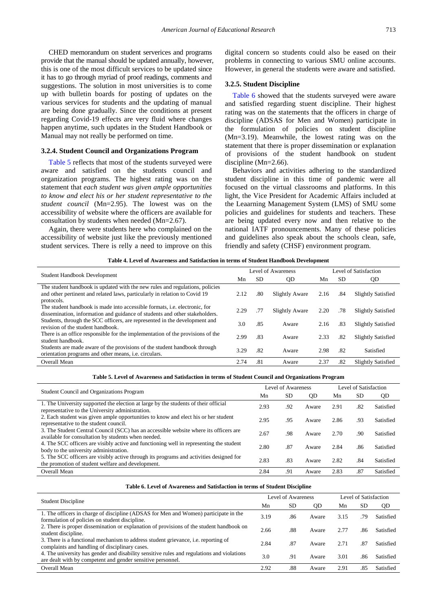CHED memorandum on student serverices and programs provide that the manual should be updated annually, however, this is one of the most difficult services to be updated since it has to go through myriad of proof readings, comments and suggestions. The solution in most universities is to come up with bulletin boards for posting of updates on the various services for students and the updating of manual are being done gradually. Since the conditions at present regarding Covid-19 effects are very fluid where changes happen anytime, such updates in the Student Handbook or Manual may not really be performed on time.

#### **3.2.4. Student Council and Organizations Program**

[Table 5](#page-5-1) reflects that most of the students surveyed were aware and satisfied on the students council and organization programs. The highest rating was on the statement that *each student was given ample opportunities to know and elect his or her student representative to the student council* (Mn=2.95). The lowest was on the accessibility of website where the officers are available for consultation by students when needed (Mn=2.67).

Again, there were students here who complained on the accessibility of website just like the previously mentioned student services. There is relly a need to improve on this digital concern so students could also be eased on their problems in connecting to various SMU online accounts. However, in general the students were aware and satisfied.

#### **3.2.5. Student Discipline**

[Table 6](#page-5-2) showed that the students surveyed were aware and satisfied regarding stuent discipline. Their highest rating was on the statements that the officers in charge of discipline (ADSAS for Men and Women) participate in the formulation of policies on student discipline (Mn=3.19). Meanwhile, the lowest rating was on the statement that there is proper dissemination or explanation of provisions of the student handbook on student discipline (Mn=2.66).

Behaviors and activities adhering to the standardized student discipline in this time of pandemic were all focused on the virtual classrooms and platforms. In this light, the Vice President for Academic Affairs included at the Leaarning Management System (LMS) of SMU some policies and guidelines for students and teachers. These are being updated every now and then relative to the national IATF pronouncements. Many of these policies and guidelines also speak about the schools clean, safe, friendly and safety (CHSF) environment program.

| Table 4. Level of Awareness and Satisfaction in terms of Student Handbook Development |  |
|---------------------------------------------------------------------------------------|--|
|---------------------------------------------------------------------------------------|--|

<span id="page-5-0"></span>

|                                                                                                                                                                          |      |     | Level of Awareness    | Level of Satisfaction |     |                           |  |
|--------------------------------------------------------------------------------------------------------------------------------------------------------------------------|------|-----|-----------------------|-----------------------|-----|---------------------------|--|
| <b>Student Handbook Development</b><br><b>SD</b><br>Mn                                                                                                                   |      | QD  | Mn                    | <b>SD</b>             | QD  |                           |  |
| The student handbook is updated with the new rules and regulations, policies<br>and other pertinent and related laws, particularly in relation to Covid 19<br>protocols. | 2.12 | .80 | <b>Slightly Aware</b> | 2.16                  | .84 | <b>Slightly Satisfied</b> |  |
| The student handbook is made into accessible formats, <i>i.e.</i> electronic, for<br>dissemination, information and guidance of students and other stakeholders.         | 2.29 | .77 | <b>Slightly Aware</b> | 2.20                  | .78 | <b>Slightly Satisfied</b> |  |
| Students, through the SCC officers, are represented in the development and<br>revision of the student handbook.                                                          | 3.0  | .85 | Aware                 | 2.16                  | .83 | <b>Slightly Satisfied</b> |  |
| There is an office responsible for the implementation of the provisions of the<br>student handbook.                                                                      | 2.99 | .83 | Aware                 | 2.33                  | .82 | <b>Slightly Satisfied</b> |  |
| Students are made aware of the provisions of the student handbook through<br>orientation programs and other means, <i>i.e.</i> circulars.                                | 3.29 | .82 | Aware                 | 2.98                  | .82 | Satisfied                 |  |
| Overall Mean                                                                                                                                                             | 2.74 | .81 | Aware                 | 2.37                  | .82 | <b>Slightly Satisfied</b> |  |

#### **Table 5. Level of Awareness and Satisfaction in terms of Student Council and Organizations Program**

<span id="page-5-1"></span>

| <b>Student Council and Organizations Program</b>                                                                                             |      | Level of Awareness |       |      | Level of Satisfaction |           |  |
|----------------------------------------------------------------------------------------------------------------------------------------------|------|--------------------|-------|------|-----------------------|-----------|--|
|                                                                                                                                              |      | <b>SD</b>          | QD    | Mn   | <b>SD</b>             | QD        |  |
| 1. The University supported the election at large by the students of their official<br>representative to the University administration.      | 2.93 | .92                | Aware | 2.91 | .82                   | Satisfied |  |
| 2. Each student was given ample opportunities to know and elect his or her student<br>representative to the student council.                 | 2.95 | .95                | Aware | 2.86 | .93                   | Satisfied |  |
| 3. The Student Central Council (SCC) has an accessible website where its officers are<br>available for consultation by students when needed. | 2.67 | .98                | Aware | 2.70 | .90                   | Satisfied |  |
| 4. The SCC officers are visibly active and functioning well in representing the student<br>body to the university administration.            | 2.80 | .87                | Aware | 2.84 | .86                   | Satisfied |  |
| 5. The SCC officers are visibly active through its programs and activities designed for<br>the promotion of student welfare and development. | 2.83 | .83                | Aware | 2.82 | .84                   | Satisfied |  |
| Overall Mean                                                                                                                                 | 2.84 | .91                | Aware | 2.83 | .87                   | Satisfied |  |

| Table 6. Level of Awareness and Satisfaction in terms of Student Discipline |
|-----------------------------------------------------------------------------|
|-----------------------------------------------------------------------------|

<span id="page-5-2"></span>

| <b>Student Discipline</b>                                                                                                                                 |      | Level of Awareness |       | Level of Satisfaction |     |           |
|-----------------------------------------------------------------------------------------------------------------------------------------------------------|------|--------------------|-------|-----------------------|-----|-----------|
|                                                                                                                                                           |      | SD.                | 0D    | Mn                    | SD  | QD        |
| 1. The officers in charge of discipline (ADSAS for Men and Women) participate in the<br>formulation of policies on student discipline.                    | 3.19 | .86                | Aware | 3.15                  | .79 | Satisfied |
| 2. There is proper dissemination or explanation of provisions of the student handbook on<br>student discipline.                                           | 2.66 | .88                | Aware | 2.77                  | .86 | Satisfied |
| 3. There is a functional mechanism to address student grievance, i.e. reporting of<br>complaints and handling of disciplinary cases.                      | 2.84 | .87                | Aware | 2.71                  | .87 | Satisfied |
| 4. The university has gender and disability sensitive rules and regulations and violations<br>are dealt with by competent and gender sensitive personnel. | 3.0  | .91                | Aware | 3.01                  | .86 | Satisfied |
| Overall Mean                                                                                                                                              | 2.92 | .88                | Aware | 2.91                  | .85 | Satisfied |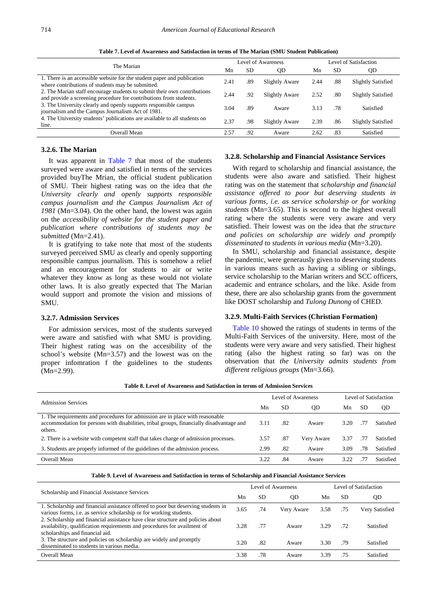<span id="page-6-0"></span>The Marian Level of Awareness Level of Satisfaction Mn SD QD Mn SD QD 1. There is an accessible website for the student paper and publication 1. There is an accessible website for the student paper and publication<br>where contributions of students may be submitted.<br>2.41 .89 Slightly Aware 2.44 .88 Slightly Satisfied 2. The Marian staff encourage students to submit their own contributions 2. The manal stari encourage students to submit their own contributions<br>
2.44 .92 Slightly Aware 2.52 .80 Slightly Satisfied<br>
2.44 .92 Slightly Aware 2.52 .80 Slightly Satisfied 3. The University clearly and openly supports responsible campus 3. The University clearly and openly supports responsible campus and the Campus Journalism Act of 1981. 3.04 .89 Aware 3.13 .78 Satisfied 4. The University students' publications are available to all students on F. The emversity statemes publications are available to an statemes on  $2.37$  .98 Slightly Aware 2.39 .86 Slightly Satisfied line. Overall Mean 2.57 .92 Aware 2.62 .83 Satisfied

**Table 7. Level of Awareness and Satisfaction in terms of The Marian (SMU Student Publication)** 

#### **3.2.6. The Marian**

It was apparent in [Table 7](#page-6-0) that most of the students surveyed were aware and satisfied in terms of the services provided buyThe Mrian, the official student publication of SMU. Their highest rating was on the idea that *the University clearly and openly supports responsible campus journalism and the Campus Journalism Act of 1981* (Mn=3.04). On the other hand, the lowest was again on the *accessibility of website for the student paper and publication where contributions of students may be submitted* (Mn=2.41).

It is gratifying to take note that most of the students surveyed perceived SMU as clearly and openly supporting responsible campus journalism. This is somehow a relief and an encouragement for students to air or write whatever they know as long as these would not violate other laws. It is also greatly expected that The Marian would support and promote the vision and missions of SMU.

#### **3.2.7. Admission Services**

For admission services, most of the students surveyed were aware and satisfied with what SMU is providing. Their highest rating was on the accesibility of the school's website (Mn=3.57) and the lowest was on the proper infomration f the guidelines to the students (Mn=2.99).

#### **3.2.8. Scholarship and Financial Assistance Services**

With regard to scholarship and financial assistance, the students were also aware and satisfied. Their highest rating was on the statement that *scholarship and financial assistance offered to poor but deserving students in various forms, i.e. as service scholarship or for working students* (Mn=3.65). This is second to the highest overall rating where the students were very aware and very satisfied. Their lowest was on the idea that *the structure and policies on scholarship are widely and promptly disseminated to students in various media* (Mn=3.20).

In SMU, scholarship and financial assistance, despite the pandemic, were generausly given to deserving students in various means such as having a sibling or siblings, service scholarship to the Marian writers and SCC officers, academic and entrance scholars, and the like. Aside from these, there are also scholarship grants from the government like DOST scholarship and *Tulong Dunong* of CHED.

#### **3.2.9. Multi-Faith Services (Christian Formation)**

[Table 10](#page-7-0) showed the ratings of students in terms of the Multi-Faith Services of the university. Here, most of the students were very aware and very satisfied. Their highest rating (also the highest rating so far) was on the observation that *the University admits students from different religious groups* (Mn=3.66).

| <b>Admission Services</b>                                                                                                                                                            |      | Level of Awareness | Level of Satisfaction |      |    |           |
|--------------------------------------------------------------------------------------------------------------------------------------------------------------------------------------|------|--------------------|-----------------------|------|----|-----------|
|                                                                                                                                                                                      |      | <b>SD</b>          | 0D                    | Mn   | SD | QD        |
| 1. The requirements and procedures for admission are in place with reasonable<br>accommodation for persons with disabilities, tribal groups, financially disadvantage and<br>others. | 3.11 | .82                | Aware                 | 3.20 | 77 | Satisfied |
| 2. There is a website with competent staff that takes charge of admission processes.                                                                                                 | 3.57 | .87                | Very Aware            | 3.37 | 77 | Satisfied |
| 3. Students are properly informed of the guidelines of the admission process.                                                                                                        | 2.99 | .82                | Aware                 | 3.09 | 78 | Satisfied |
| Overall Mean                                                                                                                                                                         | 3.22 | .84                | Aware                 | 3.22 |    | Satisfied |
|                                                                                                                                                                                      |      |                    |                       |      |    |           |

**Table 8. Level of Awareness and Satisfaction in terms of Admission Services**

**Table 9. Level of Awareness and Satisfaction in terms of Scholarship and Financial Assistance Services**

| Scholarship and Financial Assistance Services<br>Mn                                                                                                                                            |      |     | Level of Awareness | Level of Satisfaction |     |                |  |
|------------------------------------------------------------------------------------------------------------------------------------------------------------------------------------------------|------|-----|--------------------|-----------------------|-----|----------------|--|
|                                                                                                                                                                                                |      | SD  | OD                 | Mn                    | SD  | QD             |  |
| 1. Scholarship and financial assistance offered to poor but deserving students in<br>various forms, <i>i.e.</i> as service scholarship or for working students.                                | 3.65 | .74 | Very Aware         | 3.58                  | .75 | Very Satisfied |  |
| 2. Scholarship and financial assistance have clear structure and policies about<br>availability, qualification requirements and procedures for availment of<br>scholarships and financial aid. | 3.28 | .77 | Aware              | 3.29                  | .72 | Satisfied      |  |
| 3. The structure and policies on scholarship are widely and promptly<br>disseminated to students in various media.                                                                             | 3.20 | .82 | Aware              | 3.30                  | .79 | Satisfied      |  |
| Overall Mean                                                                                                                                                                                   | 3.38 | .78 | Aware              | 3.39                  | .75 | Satisfied      |  |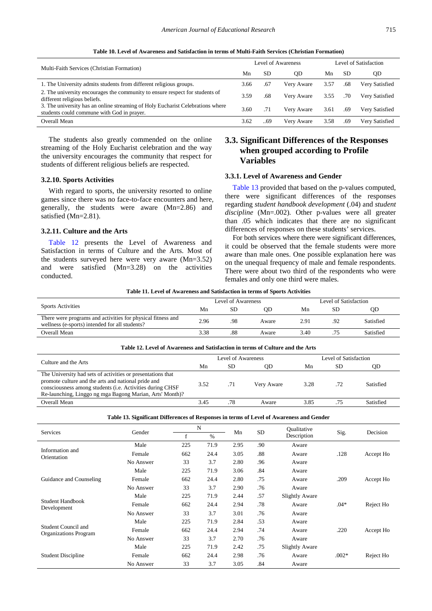<span id="page-7-0"></span>

|                                                                                                                              |      |     | Level of Awareness | Level of Satisfaction |     |                |  |
|------------------------------------------------------------------------------------------------------------------------------|------|-----|--------------------|-----------------------|-----|----------------|--|
| Multi-Faith Services (Christian Formation)                                                                                   | Mn   | SD  | OD                 | Мn                    | SD. | QD             |  |
| 1. The University admits students from different religious groups.                                                           | 3.66 | .67 | Very Aware         | 3.57                  | .68 | Very Satisfied |  |
| 2. The university encourages the community to ensure respect for students of<br>different religious beliefs.                 | 3.59 | .68 | Very Aware         | 3.55                  | .70 | Very Satisfied |  |
| 3. The university has an online streaming of Holy Eucharist Celebrations where<br>students could commune with God in prayer. | 3.60 | .71 | Very Aware         | 3.61                  | .69 | Very Satisfied |  |
| Overall Mean                                                                                                                 | 3.62 | 69  | Very Aware         | 3.58                  | .69 | Very Satisfied |  |

**Table 10. Level of Awareness and Satisfaction in terms of Multi-Faith Services (Christian Formation)**

The students also greatly commended on the online streaming of the Holy Eucharist celebration and the way the university encourages the community that respect for students of different religious beliefs are respected.

#### **3.2.10. Sports Activities**

With regard to sports, the university resorted to online games since there was no face-to-face encounters and here, generally, the students were aware (Mn=2.86) and satisfied (Mn=2.81).

#### **3.2.11. Culture and the Arts**

[Table 12](#page-7-1) presents the Level of Awareness and Satisfaction in terms of Culture and the Arts. Most of the students surveyed here were very aware (Mn=3.52) and were satisfied (Mn=3.28) on the activities conducted.

## **3.3. Significant Differences of the Responses when grouped according to Profile Variables**

## **3.3.1. Level of Awareness and Gender**

[Table 13](#page-7-2) provided that based on the p-values computed, there were significant differences of the responses regarding *student handbook development* (.04) and *student discipline* (Mn=.002)*.* Other p-values were all greater than .05 which indicates that there are no significant differences of responses on these students' services.

For both services where there were significant differences, it could be observed that the female students were more aware than male ones. One possible explanation here was on the unequal frequency of male and female respondents. There were about two third of the respondents who were females and only one third were males.

**Table 11. Level of Awareness and Satisfaction in terms of Sports Activities**

|                                                                                                               |      | Level of Awareness |       | Level of Satisfaction |     |           |
|---------------------------------------------------------------------------------------------------------------|------|--------------------|-------|-----------------------|-----|-----------|
| <b>Sports Activities</b>                                                                                      | Mn   | SD                 | OD    | Mn                    | SD  | OD        |
| There were programs and activities for physical fitness and<br>wellness (e-sports) intended for all students? | 2.96 | .98                | Aware | 2.91                  | .92 | Satisfied |
| Overall Mean                                                                                                  | 3.38 | .88                | Aware | 3.40                  |     | Satisfied |

<span id="page-7-1"></span>

| Table 12. Level of Awareness and Satisfaction in terms of Culture and the Arts                                                                                                                                                              |      |                    |            |                       |     |           |  |  |  |  |
|---------------------------------------------------------------------------------------------------------------------------------------------------------------------------------------------------------------------------------------------|------|--------------------|------------|-----------------------|-----|-----------|--|--|--|--|
| Culture and the Arts                                                                                                                                                                                                                        |      | Level of Awareness |            | Level of Satisfaction |     |           |  |  |  |  |
|                                                                                                                                                                                                                                             | Mn   | SD.                | OD         | Mn                    | SD  | QD        |  |  |  |  |
| The University had sets of activities or presentations that<br>promote culture and the arts and national pride and<br>consciousness among students (i.e. Activities during CHSF<br>Re-launching, Linggo ng mga Bagong Marian, Arts' Month)? | 3.52 | .71                | Very Aware | 3.28                  | .72 | Satisfied |  |  |  |  |
| Overall Mean                                                                                                                                                                                                                                | 3.45 | .78                | Aware      | 3.85                  | .75 | Satisfied |  |  |  |  |

<span id="page-7-2"></span>

| <b>Services</b>                                            | Gender    |     | N    |      | <b>SD</b> | Oualitative<br>Description | Sig.    | Decision  |  |
|------------------------------------------------------------|-----------|-----|------|------|-----------|----------------------------|---------|-----------|--|
|                                                            |           | f   | $\%$ |      |           |                            |         |           |  |
| Information and                                            | Male      | 225 | 71.9 | 2.95 | .90       | Aware                      |         |           |  |
| Orientation                                                | Female    | 662 | 24.4 | 3.05 | .88       | Aware                      | .128    | Accept Ho |  |
|                                                            | No Answer | 33  | 3.7  | 2.80 | .96       | Aware                      |         |           |  |
|                                                            | Male      | 225 | 71.9 | 3.06 | .84       | Aware                      |         |           |  |
| Guidance and Counseling                                    | Female    | 662 | 24.4 | 2.80 | .75       | Aware                      | .209    | Accept Ho |  |
|                                                            | No Answer | 33  | 3.7  | 2.90 | .76       | Aware                      |         |           |  |
|                                                            | Male      | 225 | 71.9 | 2.44 | .57       | <b>Slightly Aware</b>      |         |           |  |
| Student Handbook<br>Development                            | Female    | 662 | 24.4 | 2.94 | .78       | Aware                      | $.04*$  | Reject Ho |  |
|                                                            | No Answer | 33  | 3.7  | 3.01 | .76       | Aware                      |         |           |  |
|                                                            | Male      | 225 | 71.9 | 2.84 | .53       | Aware                      |         |           |  |
| <b>Student Council and</b><br><b>Organizations Program</b> | Female    | 662 | 24.4 | 2.94 | .74       | Aware                      | .220    | Accept Ho |  |
|                                                            | No Answer | 33  | 3.7  | 2.70 | .76       | Aware                      |         |           |  |
|                                                            | Male      | 225 | 71.9 | 2.42 | .75       | <b>Slightly Aware</b>      |         |           |  |
| <b>Student Discipline</b>                                  | Female    | 662 | 24.4 | 2.98 | .76       | Aware                      | $.002*$ | Reject Ho |  |
|                                                            | No Answer | 33  | 3.7  | 3.05 | .84       | Aware                      |         |           |  |

#### **Table 13. Significant Differences of Responses in terms of Level of Awareness and Gender**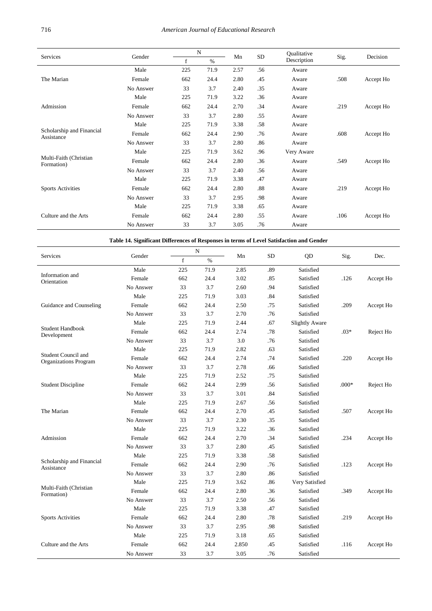|                                         |           |             | $\mathbf N$ |      |           | Qualitative |      |           |  |
|-----------------------------------------|-----------|-------------|-------------|------|-----------|-------------|------|-----------|--|
| Services                                | Gender    | $\mathbf f$ | $\%$        | Mn   | <b>SD</b> | Description | Sig. | Decision  |  |
|                                         | Male      | 225         | 71.9        | 2.57 | .56       | Aware       |      |           |  |
| The Marian                              | Female    | 662         | 24.4        | 2.80 | .45       | Aware       | .508 | Accept Ho |  |
|                                         | No Answer | 33          | 3.7         | 2.40 | .35       | Aware       |      |           |  |
|                                         | Male      | 225         | 71.9        | 3.22 | .36       | Aware       |      |           |  |
| Admission                               | Female    | 662         | 24.4        | 2.70 | .34       | Aware       | .219 | Accept Ho |  |
|                                         | No Answer | 33          | 3.7         | 2.80 | .55       | Aware       |      |           |  |
| Scholarship and Financial<br>Assistance | Male      | 225         | 71.9        | 3.38 | .58       | Aware       |      |           |  |
|                                         | Female    | 662         | 24.4        | 2.90 | .76       | Aware       | .608 | Accept Ho |  |
|                                         | No Answer | 33          | 3.7         | 2.80 | .86       | Aware       |      |           |  |
|                                         | Male      | 225         | 71.9        | 3.62 | .96       | Very Aware  |      |           |  |
| Multi-Faith (Christian<br>Formation)    | Female    | 662         | 24.4        | 2.80 | .36       | Aware       | .549 | Accept Ho |  |
|                                         | No Answer | 33          | 3.7         | 2.40 | .56       | Aware       |      |           |  |
|                                         | Male      | 225         | 71.9        | 3.38 | .47       | Aware       |      |           |  |
| <b>Sports Activities</b>                | Female    | 662         | 24.4        | 2.80 | .88       | Aware       | .219 | Accept Ho |  |
|                                         | No Answer | 33          | 3.7         | 2.95 | .98       | Aware       |      |           |  |
|                                         | Male      | 225         | 71.9        | 3.38 | .65       | Aware       |      |           |  |
| Culture and the Arts                    | Female    | 662         | 24.4        | 2.80 | .55       | Aware       | .106 | Accept Ho |  |
|                                         | No Answer | 33          | 3.7         | 3.05 | .76       | Aware       |      |           |  |

**Table 14. Significant Differences of Responses in terms of Level Satisfaction and Gender**

<span id="page-8-0"></span>

|                                |           |             | N    |       |           |                       |         |           |
|--------------------------------|-----------|-------------|------|-------|-----------|-----------------------|---------|-----------|
| Services                       | Gender    | $\mathbf f$ | $\%$ | Mn    | <b>SD</b> | QD                    | Sig.    | Dec.      |
|                                | Male      | 225         | 71.9 | 2.85  | .89       | Satisfied             |         |           |
| Information and<br>Orientation | Female    | 662         | 24.4 | 3.02  | .85       | Satisfied             | .126    | Accept Ho |
|                                | No Answer | 33          | 3.7  | 2.60  | .94       | Satisfied             |         |           |
|                                | Male      | 225         | 71.9 | 3.03  | .84       | Satisfied             |         |           |
| Guidance and Counseling        | Female    | 662         | 24.4 | 2.50  | .75       | Satisfied             | .209    | Accept Ho |
|                                | No Answer | 33          | 3.7  | 2.70  | .76       | Satisfied             |         |           |
|                                | Male      | 225         | 71.9 | 2.44  | .67       | <b>Slightly Aware</b> |         |           |
| <b>Student Handbook</b>        | Female    | 662         | 24.4 | 2.74  | .78       | Satisfied             | $.03*$  | Reject Ho |
| Development                    | No Answer | 33          | 3.7  | 3.0   | .76       | Satisfied             |         |           |
|                                | Male      | 225         | 71.9 | 2.82  | .63       | Satisfied             |         |           |
| Student Council and            | Female    | 662         | 24.4 | 2.74  | .74       | Satisfied             | .220    | Accept Ho |
| Organizations Program          | No Answer | 33          | 3.7  | 2.78  | .66       | Satisfied             |         |           |
|                                | Male      | 225         | 71.9 | 2.52  | .75       | Satisfied             |         |           |
| <b>Student Discipline</b>      | Female    | 662         | 24.4 | 2.99  | .56       | Satisfied             | $.000*$ | Reject Ho |
|                                | No Answer | 33          | 3.7  | 3.01  | .84       | Satisfied             |         |           |
|                                | Male      | 225         | 71.9 | 2.67  | .56       | Satisfied             |         |           |
| The Marian                     | Female    | 662         | 24.4 | 2.70  | .45       | Satisfied             | .507    | Accept Ho |
|                                | No Answer | 33          | 3.7  | 2.30  | .35       | Satisfied             |         |           |
|                                | Male      | 225         | 71.9 | 3.22  | .36       | Satisfied             |         |           |
| Admission                      | Female    | 662         | 24.4 | 2.70  | .34       | Satisfied             | .234    | Accept Ho |
|                                | No Answer | 33          | 3.7  | 2.80  | .45       | Satisfied             |         |           |
|                                | Male      | 225         | 71.9 | 3.38  | .58       | Satisfied             |         |           |
| Scholarship and Financial      | Female    | 662         | 24.4 | 2.90  | .76       | Satisfied             | .123    | Accept Ho |
| Assistance                     | No Answer | 33          | 3.7  | 2.80  | .86       | Satisfied             |         |           |
|                                | Male      | 225         | 71.9 | 3.62  | .86       | Very Satisfied        |         |           |
| Multi-Faith (Christian         | Female    | 662         | 24.4 | 2.80  | .36       | Satisfied             | .349    | Accept Ho |
| Formation)                     | No Answer | 33          | 3.7  | 2.50  | .56       | Satisfied             |         |           |
|                                | Male      | 225         | 71.9 | 3.38  | .47       | Satisfied             |         |           |
| <b>Sports Activities</b>       | Female    | 662         | 24.4 | 2.80  | .78       | Satisfied             | .219    | Accept Ho |
|                                | No Answer | 33          | 3.7  | 2.95  | .98       | Satisfied             |         |           |
|                                | Male      | 225         | 71.9 | 3.18  | .65       | Satisfied             |         |           |
| Culture and the Arts           | Female    | 662         | 24.4 | 2.850 | .45       | Satisfied             | .116    | Accept Ho |
|                                | No Answer | 33          | 3.7  | 3.05  | .76       | Satisfied             |         |           |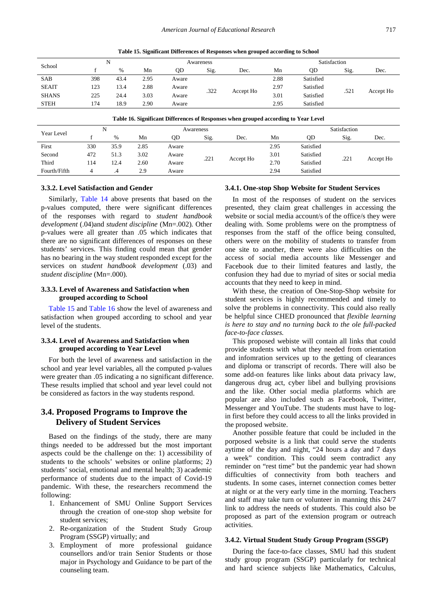**Table 15. Significant Differences of Responses when grouped according to School**

<span id="page-9-0"></span>

| School       |     | N    |      | Awareness |      |                   |      | Satisfaction |      |           |  |  |
|--------------|-----|------|------|-----------|------|-------------------|------|--------------|------|-----------|--|--|
|              |     | $\%$ | Mn   | OD        | Sig. | Dec.              | Mn   | OD           | Sig. | Dec.      |  |  |
| <b>SAB</b>   | 398 | 43.4 | 2.95 | Aware     |      | .322<br>Accept Ho | 2.88 | Satisfied    | .521 | Accept Ho |  |  |
| <b>SEAIT</b> | 123 | 13.4 | 2.88 | Aware     |      |                   | 2.97 | Satisfied    |      |           |  |  |
| <b>SHANS</b> | 225 | 24.4 | 3.03 | Aware     |      |                   | 3.01 | Satisfied    |      |           |  |  |
| <b>STEH</b>  | 174 | 18.9 | 2.90 | Aware     |      |                   | 2.95 | Satisfied    |      |           |  |  |

**Table 16. Significant Differences of Responses when grouped according to Year Level**

<span id="page-9-1"></span>

| Year Level   |     | N    |      | Awareness |      |           | Satisfaction |           |      |           |  |  |
|--------------|-----|------|------|-----------|------|-----------|--------------|-----------|------|-----------|--|--|
|              |     | %    | Mn   | OD        | Sig. | Dec.      | Mn           | OD        | Sig. | Dec.      |  |  |
| First        | 330 | 35.9 | 2.85 | Aware     |      |           | 2.95         | Satisfied |      |           |  |  |
| Second       | 472 | 51.3 | 3.02 | Aware     | .221 |           |              |           | 3.01 | Satisfied |  |  |
| Third        | 114 | 12.4 | 2.60 | Aware     |      | Accept Ho | 2.70         | Satisfied | .221 | Accept Ho |  |  |
| Fourth/Fifth | ⊿   | .4   | 2.9  | Aware     |      |           | 2.94         | Satisfied |      |           |  |  |

#### **3.3.2. Level Satisfaction and Gender**

Similarly, [Table 14](#page-8-0) above presents that based on the p-values computed, there were significant differences of the responses with regard to *student handbook development* (.04)and *student discipline* (Mn=.002)*.* Other p-values were all greater than .05 which indicates that there are no significant differences of responses on these students' services. This finding could mean that gender has no bearing in the way student responded except for the services on *student handbook development* (.03) and *student discipline* (Mn=.000)*.*

#### **3.3.3. Level of Awareness and Satisfaction when grouped according to School**

[Table 15](#page-9-0) and [Table 16](#page-9-1) show the level of awareness and satisfaction when grouped according to school and year level of the students.

#### **3.3.4. Level of Awareness and Satisfaction when grouped according to Year Level**

For both the level of awareness and satisfaction in the school and year level variables, all the computed p-values were greater than .05 indicating a no significant difference. These results implied that school and year level could not be considered as factors in the way students respond.

## **3.4. Proposed Programs to Improve the Delivery of Student Services**

Based on the findings of the study, there are many things needed to be addressed but the most important aspects could be the challenge on the: 1) accessibility of students to the schools' websites or online platforms; 2) students' social, emotional and mental health; 3) academic performance of students due to the impact of Covid-19 pandemic. With these, the researchers recommend the following:

- 1. Enhancement of SMU Online Support Services through the creation of one-stop shop website for student services;
- 2. Re-organization of the Student Study Group Program (SSGP) virtually; and
- 3. Employment of more professional guidance counsellors and/or train Senior Students or those major in Psychology and Guidance to be part of the counseling team.

#### **3.4.1. One-stop Shop Website for Student Services**

In most of the responses of student on the services presented, they claim great challenges in accessing the website or social media account/s of the office/s they were dealing with. Some problems were on the promptness of responses from the staff of the office being consulted, others were on the mobility of students to transfer from one site to another, there were also difficulties on the access of social media accounts like Messenger and Facebook due to their limited features and lastly, the confusion they had due to myriad of sites or social media accounts that they need to keep in mind.

With these, the creation of One-Stop-Shop website for student services is highly recommended and timely to solve the problems in connectivity. This could also really be helpful since CHED pronounced that *flexible learning is here to stay and no turning back to the ole full-packed face-to-face classes.*

This proposed webiste will contain all links that could provide students with what they needed from orientation and infomration services up to the getting of clearances and diploma or transcript of records. There will also be some add-on features like links about data privacy law, dangerous drug act, cyber libel and bullying provisions and the like. Other social media platforms which are popular are also included such as Facebook, Twitter, Messenger and YouTube. The students must have to login first before they could access to all the links provided in the proposed website.

Another possible feature that could be included in the porposed website is a link that could serve the students aytime of the day and night, "24 hours a day and 7 days a week" condition. This could seem contradict any reminder on "rest time" but the pandemic year had shown difficulties of connectivity from both teachers and students. In some cases, internet connection comes better at night or at the very early time in the morning. Teachers and staff may take turn or volunteer in manning this 24/7 link to address the needs of students. This could also be proposed as part of the extension program or outreach activities.

#### **3.4.2. Virtual Student Study Group Program (SSGP)**

During the face-to-face classes, SMU had this student study group program (SSGP) particularly for technical and hard science subjects like Mathematics, Calculus,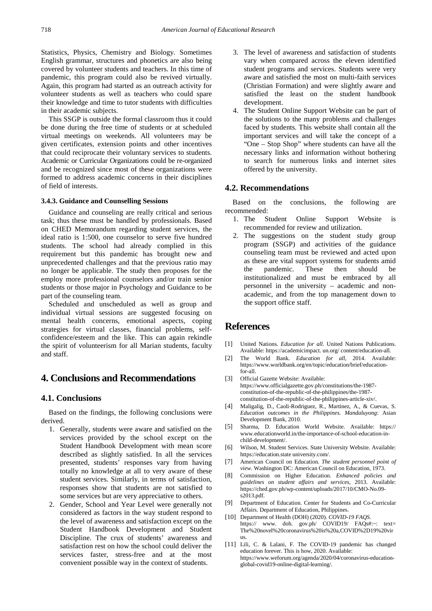Statistics, Physics, Chemistry and Biology. Sometimes English grammar, structures and phonetics are also being covered by volunteer students and teachers. In this time of pandemic, this program could also be revived virtually. Again, this program had started as an outreach activity for volunteer students as well as teachers who could spare their knowledge and time to tutor students with difficulties in their academic subjects.

This SSGP is outside the formal classroom thus it could be done during the free time of students or at scheduled virtual meetings on weekends. All volunteers may be given certificates, extension points and other incentives that could reciprocate their voluntary services to students. Academic or Curricular Organizations could be re-organized and be recognized since most of these organizations were formed to address academic concerns in their disciplines of field of interests.

#### **3.4.3. Guidance and Counselling Sessions**

Guidance and counseling are really critical and serious task; thus these must be handled by professionals. Based on CHED Memorandum regarding student services, the ideal ratio is 1:500, one counselor to serve five hundred students. The school had already complied in this requirement but this pandemic has brought new and unprecedented challenges and that the previous ratio may no longer be applicable. The study then proposes for the employ more professional counselors and/or train senior students or those major in Psychology and Guidance to be part of the counseling team.

Scheduled and unscheduled as well as group and individual virtual sessions are suggested focusing on mental health concerns, emotional aspects, coping strategies for virtual classes, financial problems, selfconfidence/esteem and the like. This can again rekindle the spirit of volunteerism for all Marian students, faculty and staff.

# **4. Conclusions and Recommendations**

## **4.1. Conclusions**

Based on the findings, the following conclusions were derived.

- 1. Generally, students were aware and satisfied on the services provided by the school except on the Student Handbook Development with mean score described as slightly satisfied. In all the services presented, students' responses vary from having totally no knowledge at all to very aware of these student services. Similarly, in terms of satisfaction, responses show that students are not satisfied to some services but are very appreciative to others.
- 2. Gender, School and Year Level were generally not considered as factors in the way student respond to the level of awareness and satisfaction except on the Student Handbook Development and Student Discipline. The crux of students' awareness and satisfaction rest on how the school could deliver the services faster, stress-free and at the most convenient possible way in the context of students.
- 3. The level of awareness and satisfaction of students vary when compared across the eleven identified student programs and services. Students were very aware and satisfied the most on multi-faith services (Christian Formation) and were slightly aware and satisfied the least on the student handbook development.
- 4. The Student Online Support Website can be part of the solutions to the many problems and challenges faced by students. This website shall contain all the important services and will take the concept of a "One – Stop Shop" where students can have all the necessary links and information without bothering to search for numerous links and internet sites offered by the university.

## **4.2. Recommendations**

Based on the conclusions, the following are recommended:

- 1. The Student Online Support Website is recommended for review and utilization.
- 2. The suggestions on the student study group program (SSGP) and activities of the guidance counseling team must be reviewed and acted upon as these are vital support systems for students amid the pandemic. These then should be institutionalized and must be embraced by all personnel in the university – academic and nonacademic, and from the top management down to the support office staff.

# **References**

- <span id="page-10-0"></span>[1] United Nations. *Education for all*. United Nations Publications. Available: https://academicimpact. un.org/ content/education-all.
- <span id="page-10-1"></span>[2] The World Bank. *Education for all*, 2014. Available: https://www.worldbank.org/en/topic/education/brief/education $for -11$ .
- <span id="page-10-2"></span>[3] Official Gazette Website: Available: https://www.officialgazette.gov.ph/constitutions/the-1987 constitution-of-the-republic-of-the-philippines/the-1987 constitution-of-the-republic-of-the-philippines-article-xiv/.
- <span id="page-10-3"></span>[4] Maligalig, D., Caoli-Rodriguez, R., Martinez, A., & Cuevas, S. *Education outcomes in the Philippines. Mandaluyong*: Asian Development Bank, 2010.
- <span id="page-10-4"></span>[5] Sharma, D. Education World Website. Available: https:// www.educationworld.in/the-importance-of-school-education-inchild-development/.
- <span id="page-10-5"></span>[6] Wilson, M. Student Services. State University Website. Available: https://education.state university.com/.
- <span id="page-10-6"></span>[7] American Council on Education. *The student personnel point of view*. Washington DC: American Council on Education, 1973.
- <span id="page-10-7"></span>[8] Commission on Higher Education. *Enhanced policies and guidelines on student affairs and services*, 2013. Available: https://ched.gov.ph/wp-content/uploads/2017/10/CMO-No.09 s2013.pdf.
- <span id="page-10-8"></span>[9] Department of Education. Center for Students and Co-Curricular Affairs. Department of Education, Philippines.
- <span id="page-10-9"></span>[10] Department of Health (DOH) (2020). *COVID-19 FAQS*. https:// www. doh. gov.ph/ COVID19/ FAQs#:~: text= The%20novel%20coronavirus%20is%20a,COVID%2D19%20vir us.
- <span id="page-10-10"></span>[11] Lili, C. & Lalani, F. The COVID-19 pandemic has changed education forever. This is how, 2020. Available: https://www.weforum.org/agenda/2020/04/coronavirus-educationglobal-covid19-online-digital-learning/.